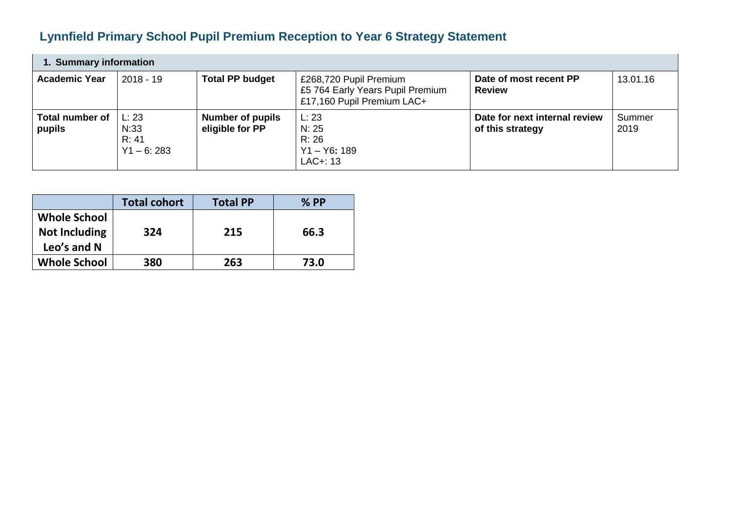## **Lynnfield Primary School Pupil Premium Reception to Year 6 Strategy Statement**

| 1. Summary information           |                                        |                                            |                                                                                          |                                                   |                |  |  |
|----------------------------------|----------------------------------------|--------------------------------------------|------------------------------------------------------------------------------------------|---------------------------------------------------|----------------|--|--|
| <b>Academic Year</b>             | $2018 - 19$                            | <b>Total PP budget</b>                     | £268,720 Pupil Premium<br>£5 764 Early Years Pupil Premium<br>£17,160 Pupil Premium LAC+ | Date of most recent PP<br><b>Review</b>           | 13.01.16       |  |  |
| <b>Total number of</b><br>pupils | L: 23<br>N:33<br>R: 41<br>$Y1 - 6:283$ | <b>Number of pupils</b><br>eligible for PP | L: 23<br>N: 25<br>R: 26<br>$Y1 - Y6: 189$<br>$LAC+: 13$                                  | Date for next internal review<br>of this strategy | Summer<br>2019 |  |  |

|                                                            | <b>Total cohort</b> | <b>Total PP</b> | $%$ PP |
|------------------------------------------------------------|---------------------|-----------------|--------|
| <b>Whole School</b><br><b>Not Including</b><br>Leo's and N | 324                 | 215             | 66.3   |
| <b>Whole School</b>                                        | 380                 | 263             | 73.0   |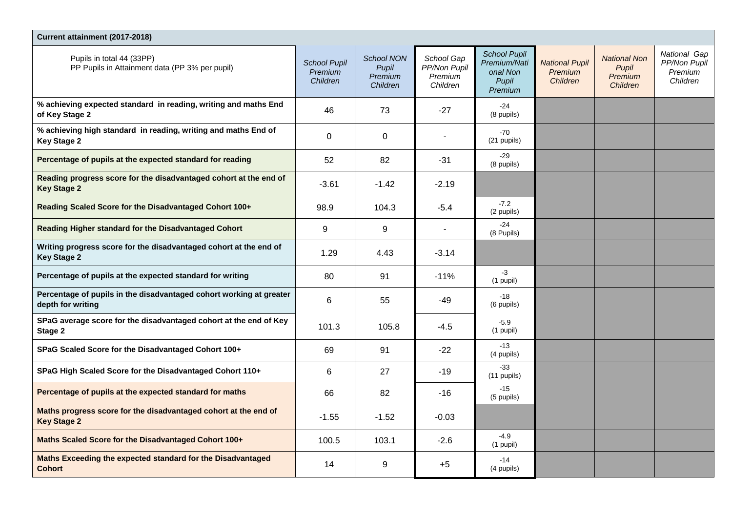| Current attainment (2017-2018)                                                           |                                            |                                            |                                                   |                                                                     |                                              |                                                     |                                                     |  |
|------------------------------------------------------------------------------------------|--------------------------------------------|--------------------------------------------|---------------------------------------------------|---------------------------------------------------------------------|----------------------------------------------|-----------------------------------------------------|-----------------------------------------------------|--|
| Pupils in total 44 (33PP)<br>PP Pupils in Attainment data (PP 3% per pupil)              | <b>School Pupil</b><br>Premium<br>Children | School NON<br>Pupil<br>Premium<br>Children | School Gap<br>PP/Non Pupil<br>Premium<br>Children | <b>School Pupil</b><br>Premium/Nati<br>onal Non<br>Pupil<br>Premium | <b>National Pupil</b><br>Premium<br>Children | <b>National Non</b><br>Pupil<br>Premium<br>Children | National Gap<br>PP/Non Pupil<br>Premium<br>Children |  |
| % achieving expected standard in reading, writing and maths End<br>of Key Stage 2        | 46                                         | 73                                         | $-27$                                             | $-24$<br>(8 pupils)                                                 |                                              |                                                     |                                                     |  |
| % achieving high standard in reading, writing and maths End of<br><b>Key Stage 2</b>     | 0                                          | 0                                          |                                                   | $-70$<br>(21 pupils)                                                |                                              |                                                     |                                                     |  |
| Percentage of pupils at the expected standard for reading                                | 52                                         | 82                                         | $-31$                                             | $-29$<br>(8 pupils)                                                 |                                              |                                                     |                                                     |  |
| Reading progress score for the disadvantaged cohort at the end of<br><b>Key Stage 2</b>  | $-3.61$                                    | $-1.42$                                    | $-2.19$                                           |                                                                     |                                              |                                                     |                                                     |  |
| Reading Scaled Score for the Disadvantaged Cohort 100+                                   | 98.9                                       | 104.3                                      | $-5.4$                                            | $-7.2$<br>(2 pupils)                                                |                                              |                                                     |                                                     |  |
| Reading Higher standard for the Disadvantaged Cohort                                     | 9                                          | 9                                          |                                                   | $-24$<br>(8 Pupils)                                                 |                                              |                                                     |                                                     |  |
| Writing progress score for the disadvantaged cohort at the end of<br><b>Key Stage 2</b>  | 1.29                                       | 4.43                                       | $-3.14$                                           |                                                                     |                                              |                                                     |                                                     |  |
| Percentage of pupils at the expected standard for writing                                | 80                                         | 91                                         | $-11%$                                            | $-3$<br>$(1$ pupil)                                                 |                                              |                                                     |                                                     |  |
| Percentage of pupils in the disadvantaged cohort working at greater<br>depth for writing | 6                                          | 55                                         | $-49$                                             | $-18$<br>(6 pupils)                                                 |                                              |                                                     |                                                     |  |
| SPaG average score for the disadvantaged cohort at the end of Key<br>Stage 2             | 101.3                                      | 105.8                                      | $-4.5$                                            | $-5.9$<br>$(1$ pupil)                                               |                                              |                                                     |                                                     |  |
| SPaG Scaled Score for the Disadvantaged Cohort 100+                                      | 69                                         | 91                                         | $-22$                                             | $-13$<br>(4 pupils)                                                 |                                              |                                                     |                                                     |  |
| SPaG High Scaled Score for the Disadvantaged Cohort 110+                                 | 6                                          | 27                                         | $-19$                                             | $-33$<br>$(11$ pupils)                                              |                                              |                                                     |                                                     |  |
| Percentage of pupils at the expected standard for maths                                  | 66                                         | 82                                         | -16                                               | $-15$<br>(5 pupils)                                                 |                                              |                                                     |                                                     |  |
| Maths progress score for the disadvantaged cohort at the end of<br><b>Key Stage 2</b>    | $-1.55$                                    | $-1.52$                                    | $-0.03$                                           |                                                                     |                                              |                                                     |                                                     |  |
| Maths Scaled Score for the Disadvantaged Cohort 100+                                     | 100.5                                      | 103.1                                      | $-2.6$                                            | $-4.9$<br>$(1$ pupil)                                               |                                              |                                                     |                                                     |  |
| Maths Exceeding the expected standard for the Disadvantaged<br><b>Cohort</b>             | 14                                         | 9                                          | $+5$                                              | $-14$<br>(4 pupils)                                                 |                                              |                                                     |                                                     |  |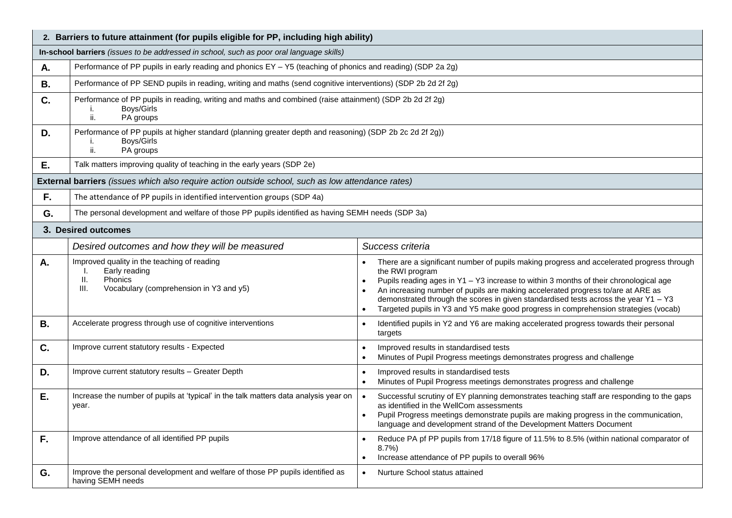|           | 2. Barriers to future attainment (for pupils eligible for PP, including high ability)                                                                                                                                                                                                                                                                                                                                                                                                                                                                                                                             |                                                                                                                                                     |  |  |  |  |  |
|-----------|-------------------------------------------------------------------------------------------------------------------------------------------------------------------------------------------------------------------------------------------------------------------------------------------------------------------------------------------------------------------------------------------------------------------------------------------------------------------------------------------------------------------------------------------------------------------------------------------------------------------|-----------------------------------------------------------------------------------------------------------------------------------------------------|--|--|--|--|--|
|           | In-school barriers (issues to be addressed in school, such as poor oral language skills)                                                                                                                                                                                                                                                                                                                                                                                                                                                                                                                          |                                                                                                                                                     |  |  |  |  |  |
| А.        | Performance of PP pupils in early reading and phonics EY - Y5 (teaching of phonics and reading) (SDP 2a 2g)                                                                                                                                                                                                                                                                                                                                                                                                                                                                                                       |                                                                                                                                                     |  |  |  |  |  |
| В.        | Performance of PP SEND pupils in reading, writing and maths (send cognitive interventions) (SDP 2b 2d 2f 2g)                                                                                                                                                                                                                                                                                                                                                                                                                                                                                                      |                                                                                                                                                     |  |  |  |  |  |
| C.        | Performance of PP pupils in reading, writing and maths and combined (raise attainment) (SDP 2b 2d 2f 2g)<br>Boys/Girls<br>i.<br>ii.<br>PA groups                                                                                                                                                                                                                                                                                                                                                                                                                                                                  |                                                                                                                                                     |  |  |  |  |  |
| D.        | Performance of PP pupils at higher standard (planning greater depth and reasoning) (SDP 2b 2c 2d 2f 2g))<br>Boys/Girls<br>ii.<br>PA groups                                                                                                                                                                                                                                                                                                                                                                                                                                                                        |                                                                                                                                                     |  |  |  |  |  |
| Ε.        | Talk matters improving quality of teaching in the early years (SDP 2e)                                                                                                                                                                                                                                                                                                                                                                                                                                                                                                                                            |                                                                                                                                                     |  |  |  |  |  |
|           | External barriers (issues which also require action outside school, such as low attendance rates)                                                                                                                                                                                                                                                                                                                                                                                                                                                                                                                 |                                                                                                                                                     |  |  |  |  |  |
| F.        | The attendance of PP pupils in identified intervention groups (SDP 4a)                                                                                                                                                                                                                                                                                                                                                                                                                                                                                                                                            |                                                                                                                                                     |  |  |  |  |  |
| G.        | The personal development and welfare of those PP pupils identified as having SEMH needs (SDP 3a)                                                                                                                                                                                                                                                                                                                                                                                                                                                                                                                  |                                                                                                                                                     |  |  |  |  |  |
|           | 3. Desired outcomes                                                                                                                                                                                                                                                                                                                                                                                                                                                                                                                                                                                               |                                                                                                                                                     |  |  |  |  |  |
|           | Desired outcomes and how they will be measured                                                                                                                                                                                                                                                                                                                                                                                                                                                                                                                                                                    | Success criteria                                                                                                                                    |  |  |  |  |  |
| Α.        | Improved quality in the teaching of reading<br>There are a significant number of pupils making progress and accelerated progress through<br>Early reading<br>the RWI program<br>Ш.<br><b>Phonics</b><br>Pupils reading ages in Y1 - Y3 increase to within 3 months of their chronological age<br>Vocabulary (comprehension in Y3 and y5)<br>III.<br>An increasing number of pupils are making accelerated progress to/are at ARE as<br>demonstrated through the scores in given standardised tests across the year Y1 - Y3<br>Targeted pupils in Y3 and Y5 make good progress in comprehension strategies (vocab) |                                                                                                                                                     |  |  |  |  |  |
| <b>B.</b> | Accelerate progress through use of cognitive interventions                                                                                                                                                                                                                                                                                                                                                                                                                                                                                                                                                        | Identified pupils in Y2 and Y6 are making accelerated progress towards their personal<br>targets                                                    |  |  |  |  |  |
| C.        | Improve current statutory results - Expected                                                                                                                                                                                                                                                                                                                                                                                                                                                                                                                                                                      | Improved results in standardised tests<br>Minutes of Pupil Progress meetings demonstrates progress and challenge                                    |  |  |  |  |  |
| D.        | Improve current statutory results - Greater Depth                                                                                                                                                                                                                                                                                                                                                                                                                                                                                                                                                                 | Improved results in standardised tests<br>Minutes of Pupil Progress meetings demonstrates progress and challenge                                    |  |  |  |  |  |
| Ε.        | Increase the number of pupils at 'typical' in the talk matters data analysis year on<br>Successful scrutiny of EY planning demonstrates teaching staff are responding to the gaps<br>as identified in the WellCom assessments<br>year.<br>Pupil Progress meetings demonstrate pupils are making progress in the communication,<br>$\bullet$<br>language and development strand of the Development Matters Document                                                                                                                                                                                                |                                                                                                                                                     |  |  |  |  |  |
| F.        | Improve attendance of all identified PP pupils                                                                                                                                                                                                                                                                                                                                                                                                                                                                                                                                                                    | Reduce PA pf PP pupils from 17/18 figure of 11.5% to 8.5% (within national comparator of<br>8.7%<br>Increase attendance of PP pupils to overall 96% |  |  |  |  |  |
| G.        | Improve the personal development and welfare of those PP pupils identified as<br>having SEMH needs                                                                                                                                                                                                                                                                                                                                                                                                                                                                                                                | Nurture School status attained                                                                                                                      |  |  |  |  |  |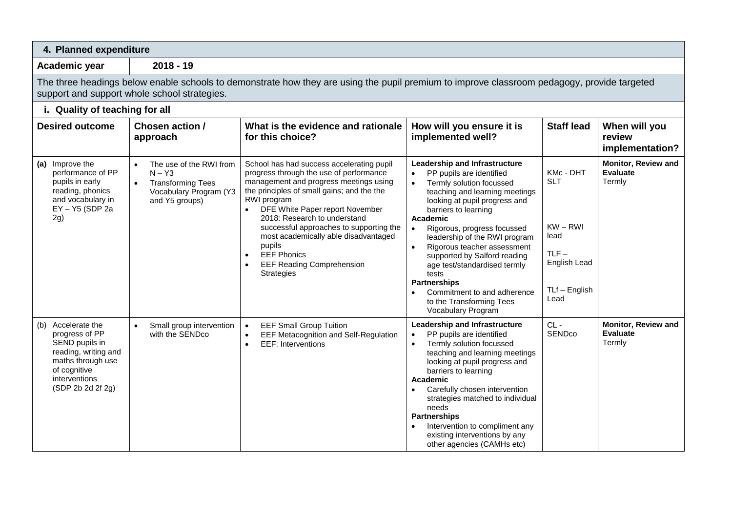| 4. Planned expenditure                                                                                                                                    |                                                                                                                                                                                             |                                                                                                                                                                                                                                                                                                                                                                                                                                                                      |                                                                                                                                                                                                                                                                                                                                                                                                                                                                              |                                                                                                   |                                                         |  |  |
|-----------------------------------------------------------------------------------------------------------------------------------------------------------|---------------------------------------------------------------------------------------------------------------------------------------------------------------------------------------------|----------------------------------------------------------------------------------------------------------------------------------------------------------------------------------------------------------------------------------------------------------------------------------------------------------------------------------------------------------------------------------------------------------------------------------------------------------------------|------------------------------------------------------------------------------------------------------------------------------------------------------------------------------------------------------------------------------------------------------------------------------------------------------------------------------------------------------------------------------------------------------------------------------------------------------------------------------|---------------------------------------------------------------------------------------------------|---------------------------------------------------------|--|--|
| Academic year                                                                                                                                             | $2018 - 19$                                                                                                                                                                                 |                                                                                                                                                                                                                                                                                                                                                                                                                                                                      |                                                                                                                                                                                                                                                                                                                                                                                                                                                                              |                                                                                                   |                                                         |  |  |
|                                                                                                                                                           | The three headings below enable schools to demonstrate how they are using the pupil premium to improve classroom pedagogy, provide targeted<br>support and support whole school strategies. |                                                                                                                                                                                                                                                                                                                                                                                                                                                                      |                                                                                                                                                                                                                                                                                                                                                                                                                                                                              |                                                                                                   |                                                         |  |  |
| i. Quality of teaching for all                                                                                                                            |                                                                                                                                                                                             |                                                                                                                                                                                                                                                                                                                                                                                                                                                                      |                                                                                                                                                                                                                                                                                                                                                                                                                                                                              |                                                                                                   |                                                         |  |  |
| <b>Desired outcome</b>                                                                                                                                    | Chosen action /<br>approach                                                                                                                                                                 | What is the evidence and rationale<br>for this choice?                                                                                                                                                                                                                                                                                                                                                                                                               | How will you ensure it is<br>implemented well?                                                                                                                                                                                                                                                                                                                                                                                                                               | <b>Staff lead</b>                                                                                 | When will you<br>review<br>implementation?              |  |  |
| (a) Improve the<br>performance of PP<br>pupils in early<br>reading, phonics<br>and vocabulary in<br>EY-Y5 (SDP 2a<br>2g)                                  | The use of the RWI from<br>$\bullet$<br>$N - Y3$<br><b>Transforming Tees</b><br>$\bullet$<br>Vocabulary Program (Y3<br>and Y5 groups)                                                       | School has had success accelerating pupil<br>progress through the use of performance<br>management and progress meetings using<br>the principles of small gains; and the the<br>RWI program<br>DFE White Paper report November<br>$\bullet$<br>2018: Research to understand<br>successful approaches to supporting the<br>most academically able disadvantaged<br>pupils<br><b>EEF Phonics</b><br>$\bullet$<br><b>EEF Reading Comprehension</b><br><b>Strategies</b> | Leadership and Infrastructure<br>PP pupils are identified<br>Termly solution focussed<br>teaching and learning meetings<br>looking at pupil progress and<br>barriers to learning<br>Academic<br>Rigorous, progress focussed<br>leadership of the RWI program<br>Rigorous teacher assessment<br>supported by Salford reading<br>age test/standardised termly<br>tests<br><b>Partnerships</b><br>Commitment to and adherence<br>to the Transforming Tees<br>Vocabulary Program | KMc - DHT<br><b>SLT</b><br>$KW - RWI$<br>lead<br>$TLF -$<br>English Lead<br>TLf - English<br>Lead | Monitor, Review and<br><b>Evaluate</b><br>Termly        |  |  |
| (b) Accelerate the<br>progress of PP<br>SEND pupils in<br>reading, writing and<br>maths through use<br>of cognitive<br>interventions<br>(SDP 2b 2d 2f 2g) | Small group intervention<br>$\bullet$<br>with the SENDco                                                                                                                                    | <b>EEF Small Group Tuition</b><br>$\bullet$<br><b>EEF Metacognition and Self-Regulation</b><br>$\bullet$<br><b>EEF: Interventions</b><br>$\bullet$                                                                                                                                                                                                                                                                                                                   | Leadership and Infrastructure<br>PP pupils are identified<br>$\bullet$<br>Termly solution focussed<br>teaching and learning meetings<br>looking at pupil progress and<br>barriers to learning<br>Academic<br>Carefully chosen intervention<br>$\bullet$<br>strategies matched to individual<br>needs<br><b>Partnerships</b><br>Intervention to compliment any<br>existing interventions by any<br>other agencies (CAMHs etc)                                                 | $CL -$<br>SENDco                                                                                  | <b>Monitor, Review and</b><br><b>Evaluate</b><br>Termly |  |  |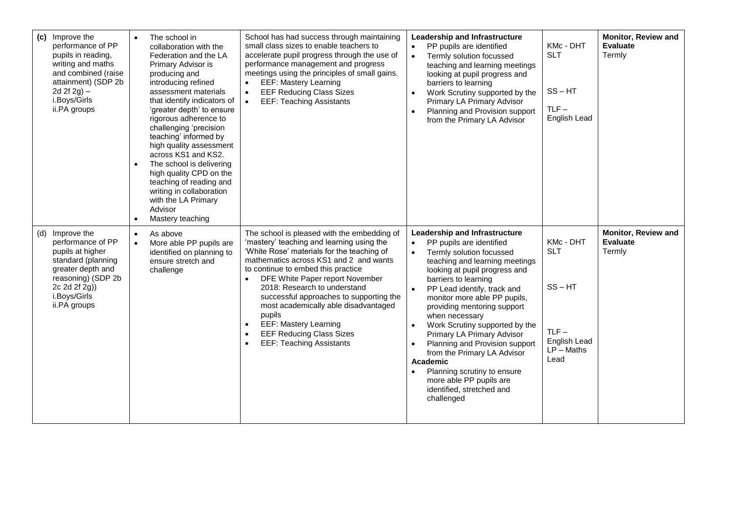| Improve the<br>(c)<br>performance of PP<br>pupils in reading,<br>writing and maths<br>and combined (raise<br>attainment) (SDP 2b<br>2d $2f(2g)$ –<br>i.Boys/Girls<br>ii.PA groups | $\bullet$<br>$\bullet$ | The school in<br>collaboration with the<br>Federation and the LA<br>Primary Advisor is<br>producing and<br>introducing refined<br>assessment materials<br>that identify indicators of<br>'greater depth' to ensure<br>rigorous adherence to<br>challenging 'precision<br>teaching' informed by<br>high quality assessment<br>across KS1 and KS2.<br>The school is delivering<br>high quality CPD on the<br>teaching of reading and<br>writing in collaboration<br>with the LA Primary<br>Advisor<br>Mastery teaching | School has had success through maintaining<br>small class sizes to enable teachers to<br>accelerate pupil progress through the use of<br>performance management and progress<br>meetings using the principles of small gains.<br><b>EEF: Mastery Learning</b><br><b>EEF Reducing Class Sizes</b><br>$\bullet$<br><b>EEF: Teaching Assistants</b><br>$\bullet$                                                                                                                                                                       | $\bullet$                          | Leadership and Infrastructure<br>PP pupils are identified<br>Termly solution focussed<br>teaching and learning meetings<br>looking at pupil progress and<br>barriers to learning<br>Work Scrutiny supported by the<br>Primary LA Primary Advisor<br>Planning and Provision support<br>from the Primary LA Advisor                                                                                                                                                                                                                      | KMc - DHT<br><b>SLT</b><br>$SS - HT$<br>$TLF -$<br>English Lead                         | Monitor, Review and<br><b>Evaluate</b><br>Termly        |
|-----------------------------------------------------------------------------------------------------------------------------------------------------------------------------------|------------------------|----------------------------------------------------------------------------------------------------------------------------------------------------------------------------------------------------------------------------------------------------------------------------------------------------------------------------------------------------------------------------------------------------------------------------------------------------------------------------------------------------------------------|-------------------------------------------------------------------------------------------------------------------------------------------------------------------------------------------------------------------------------------------------------------------------------------------------------------------------------------------------------------------------------------------------------------------------------------------------------------------------------------------------------------------------------------|------------------------------------|----------------------------------------------------------------------------------------------------------------------------------------------------------------------------------------------------------------------------------------------------------------------------------------------------------------------------------------------------------------------------------------------------------------------------------------------------------------------------------------------------------------------------------------|-----------------------------------------------------------------------------------------|---------------------------------------------------------|
| Improve the<br>(d)<br>performance of PP<br>pupils at higher<br>standard (planning<br>greater depth and<br>reasoning) (SDP 2b<br>2c 2d 2f 2g))<br>i.Boys/Girls<br>ii.PA groups     | $\bullet$<br>$\bullet$ | As above<br>More able PP pupils are<br>identified on planning to<br>ensure stretch and<br>challenge                                                                                                                                                                                                                                                                                                                                                                                                                  | The school is pleased with the embedding of<br>'mastery' teaching and learning using the<br>'White Rose' materials for the teaching of<br>mathematics across KS1 and 2 and wants<br>to continue to embed this practice<br>DFE White Paper report November<br>2018: Research to understand<br>successful approaches to supporting the<br>most academically able disadvantaged<br>pupils<br><b>EEF: Mastery Learning</b><br>$\bullet$<br><b>EEF Reducing Class Sizes</b><br>$\bullet$<br><b>EEF: Teaching Assistants</b><br>$\bullet$ | $\bullet$<br>$\bullet$<br>Academic | Leadership and Infrastructure<br>PP pupils are identified<br>Termly solution focussed<br>teaching and learning meetings<br>looking at pupil progress and<br>barriers to learning<br>PP Lead identify, track and<br>monitor more able PP pupils,<br>providing mentoring support<br>when necessary<br>Work Scrutiny supported by the<br>Primary LA Primary Advisor<br>Planning and Provision support<br>from the Primary LA Advisor<br>Planning scrutiny to ensure<br>more able PP pupils are<br>identified, stretched and<br>challenged | KMc - DHT<br><b>SLT</b><br>$SS - HT$<br>$TLF -$<br>English Lead<br>$LP$ – Maths<br>Lead | <b>Monitor, Review and</b><br><b>Evaluate</b><br>Termly |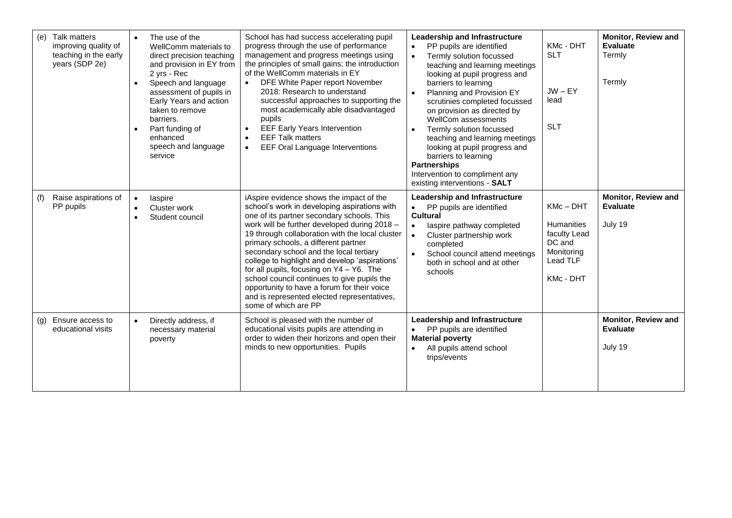| (e) | Talk matters<br>improving quality of<br>teaching in the early<br>years (SDP 2e) | $\bullet$ | The use of the<br>WellComm materials to<br>direct precision teaching<br>and provision in EY from<br>2 yrs - Rec<br>Speech and language<br>assessment of pupils in<br>Early Years and action<br>taken to remove<br>barriers.<br>Part funding of<br>enhanced<br>speech and language<br>service | School has had success accelerating pupil<br>progress through the use of performance<br>management and progress meetings using<br>the principles of small gains; the introduction<br>of the WellComm materials in EY<br>DFE White Paper report November<br>2018: Research to understand<br>successful approaches to supporting the<br>most academically able disadvantaged<br>pupils<br><b>EEF Early Years Intervention</b><br><b>EEF Talk matters</b><br>$\bullet$<br>EEF Oral Language Interventions<br>$\bullet$                                                                             | <b>Leadership and Infrastructure</b><br>Monitor, Review and<br>KMc - DHT<br><b>Evaluate</b><br>PP pupils are identified<br><b>SLT</b><br>Termly<br>Termly solution focussed<br>teaching and learning meetings<br>looking at pupil progress and<br>Termly<br>barriers to learning<br>$JW - EY$<br>Planning and Provision EY<br>lead<br>scrutinies completed focussed<br>on provision as directed by<br>WellCom assessments<br><b>SLT</b><br>Termly solution focussed<br>teaching and learning meetings<br>looking at pupil progress and<br>barriers to learning<br><b>Partnerships</b><br>Intervention to compliment any<br>existing interventions - SALT |
|-----|---------------------------------------------------------------------------------|-----------|----------------------------------------------------------------------------------------------------------------------------------------------------------------------------------------------------------------------------------------------------------------------------------------------|-------------------------------------------------------------------------------------------------------------------------------------------------------------------------------------------------------------------------------------------------------------------------------------------------------------------------------------------------------------------------------------------------------------------------------------------------------------------------------------------------------------------------------------------------------------------------------------------------|----------------------------------------------------------------------------------------------------------------------------------------------------------------------------------------------------------------------------------------------------------------------------------------------------------------------------------------------------------------------------------------------------------------------------------------------------------------------------------------------------------------------------------------------------------------------------------------------------------------------------------------------------------|
| (f) | Raise aspirations of<br>PP pupils                                               | $\bullet$ | laspire<br>Cluster work<br>Student council                                                                                                                                                                                                                                                   | iAspire evidence shows the impact of the<br>school's work in developing aspirations with<br>one of its partner secondary schools. This<br>work will be further developed during 2018 -<br>19 through collaboration with the local cluster<br>primary schools, a different partner<br>secondary school and the local tertiary<br>college to highlight and develop 'aspirations'<br>for all pupils, focusing on Y4 - Y6. The<br>school council continues to give pupils the<br>opportunity to have a forum for their voice<br>and is represented elected representatives,<br>some of which are PP | Monitor, Review and<br><b>Leadership and Infrastructure</b><br>KMc-DHT<br><b>Evaluate</b><br>PP pupils are identified<br><b>Cultural</b><br>July 19<br><b>Humanities</b><br>laspire pathway completed<br>$\bullet$<br>faculty Lead<br>Cluster partnership work<br>DC and<br>completed<br>Monitoring<br>School council attend meetings<br>$\bullet$<br>Lead TLF<br>both in school and at other<br>schools<br>KMc - DHT                                                                                                                                                                                                                                    |
| (g) | Ensure access to<br>educational visits                                          | $\bullet$ | Directly address, if<br>necessary material<br>poverty                                                                                                                                                                                                                                        | School is pleased with the number of<br>educational visits pupils are attending in<br>order to widen their horizons and open their<br>minds to new opportunities. Pupils                                                                                                                                                                                                                                                                                                                                                                                                                        | <b>Leadership and Infrastructure</b><br><b>Monitor, Review and</b><br><b>Evaluate</b><br>PP pupils are identified<br><b>Material poverty</b><br>July 19<br>All pupils attend school<br>trips/events                                                                                                                                                                                                                                                                                                                                                                                                                                                      |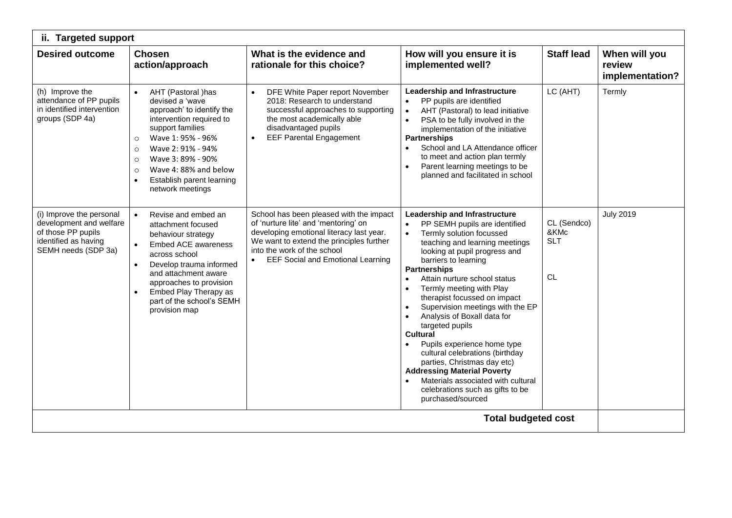| ii. Targeted support                                                                                                     |                                                                                                                                                                                                                                                                                                                         |                                                                                                                                                                                                                                                                 |                                                                                                                                                                                                                                                                                                                                                                                                                                                                                                                                                                                                                                                                                   |                                                |                                            |  |  |
|--------------------------------------------------------------------------------------------------------------------------|-------------------------------------------------------------------------------------------------------------------------------------------------------------------------------------------------------------------------------------------------------------------------------------------------------------------------|-----------------------------------------------------------------------------------------------------------------------------------------------------------------------------------------------------------------------------------------------------------------|-----------------------------------------------------------------------------------------------------------------------------------------------------------------------------------------------------------------------------------------------------------------------------------------------------------------------------------------------------------------------------------------------------------------------------------------------------------------------------------------------------------------------------------------------------------------------------------------------------------------------------------------------------------------------------------|------------------------------------------------|--------------------------------------------|--|--|
| <b>Desired outcome</b>                                                                                                   | <b>Chosen</b><br>action/approach                                                                                                                                                                                                                                                                                        | What is the evidence and<br>rationale for this choice?                                                                                                                                                                                                          | How will you ensure it is<br>implemented well?                                                                                                                                                                                                                                                                                                                                                                                                                                                                                                                                                                                                                                    | <b>Staff lead</b>                              | When will you<br>review<br>implementation? |  |  |
| (h) Improve the<br>attendance of PP pupils<br>in identified intervention<br>groups (SDP 4a)                              | AHT (Pastoral )has<br>devised a 'wave<br>approach' to identify the<br>intervention required to<br>support families<br>Wave 1: 95% - 96%<br>$\circ$<br>Wave 2: 91% - 94%<br>$\circ$<br>Wave 3: 89% - 90%<br>$\circ$<br>Wave 4:88% and below<br>$\circ$<br>Establish parent learning<br>$\bullet$<br>network meetings     | DFE White Paper report November<br>$\bullet$<br>2018: Research to understand<br>successful approaches to supporting<br>the most academically able<br>disadvantaged pupils<br><b>EEF Parental Engagement</b>                                                     | Leadership and Infrastructure<br>PP pupils are identified<br>$\bullet$<br>AHT (Pastoral) to lead initiative<br>PSA to be fully involved in the<br>implementation of the initiative<br><b>Partnerships</b><br>School and LA Attendance officer<br>to meet and action plan termly<br>Parent learning meetings to be<br>planned and facilitated in school                                                                                                                                                                                                                                                                                                                            | LC (AHT)                                       | Termly                                     |  |  |
| (i) Improve the personal<br>development and welfare<br>of those PP pupils<br>identified as having<br>SEMH needs (SDP 3a) | Revise and embed an<br>$\bullet$<br>attachment focused<br>behaviour strategy<br><b>Embed ACE awareness</b><br>$\bullet$<br>across school<br>Develop trauma informed<br>$\bullet$<br>and attachment aware<br>approaches to provision<br>Embed Play Therapy as<br>$\bullet$<br>part of the school's SEMH<br>provision map | School has been pleased with the impact<br>of 'nurture lite' and 'mentoring' on<br>developing emotional literacy last year.<br>We want to extend the principles further<br>into the work of the school<br><b>EEF Social and Emotional Learning</b><br>$\bullet$ | Leadership and Infrastructure<br>PP SEMH pupils are identified<br>$\bullet$<br>Termly solution focussed<br>$\bullet$<br>teaching and learning meetings<br>looking at pupil progress and<br>barriers to learning<br><b>Partnerships</b><br>Attain nurture school status<br>Termly meeting with Play<br>therapist focussed on impact<br>Supervision meetings with the EP<br>Analysis of Boxall data for<br>targeted pupils<br><b>Cultural</b><br>Pupils experience home type<br>cultural celebrations (birthday<br>parties, Christmas day etc)<br><b>Addressing Material Poverty</b><br>Materials associated with cultural<br>celebrations such as gifts to be<br>purchased/sourced | CL (Sendco)<br>&KMc<br><b>SLT</b><br><b>CL</b> | <b>July 2019</b>                           |  |  |
|                                                                                                                          |                                                                                                                                                                                                                                                                                                                         |                                                                                                                                                                                                                                                                 | <b>Total budgeted cost</b>                                                                                                                                                                                                                                                                                                                                                                                                                                                                                                                                                                                                                                                        |                                                |                                            |  |  |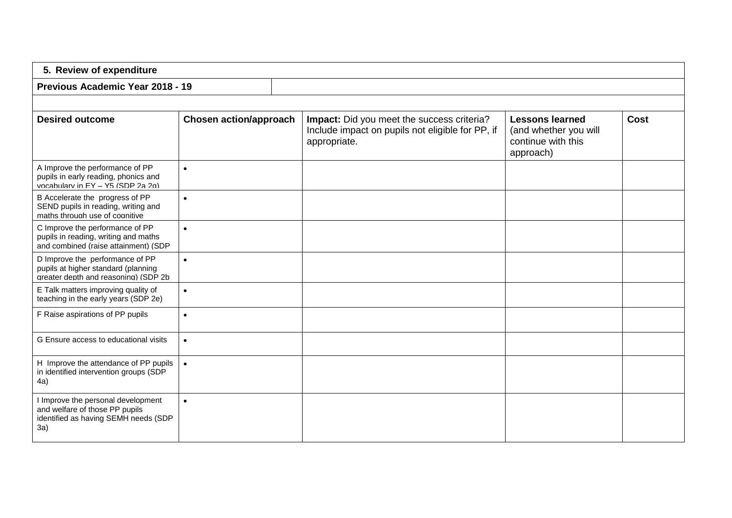| 5. Review of expenditure                                                                                            |                               |                                                                                                                       |                                                                                    |             |  |  |
|---------------------------------------------------------------------------------------------------------------------|-------------------------------|-----------------------------------------------------------------------------------------------------------------------|------------------------------------------------------------------------------------|-------------|--|--|
| Previous Academic Year 2018 - 19                                                                                    |                               |                                                                                                                       |                                                                                    |             |  |  |
|                                                                                                                     |                               |                                                                                                                       |                                                                                    |             |  |  |
| <b>Desired outcome</b>                                                                                              | <b>Chosen action/approach</b> | <b>Impact:</b> Did you meet the success criteria?<br>Include impact on pupils not eligible for PP, if<br>appropriate. | <b>Lessons learned</b><br>(and whether you will<br>continue with this<br>approach) | <b>Cost</b> |  |  |
| A Improve the performance of PP<br>pupils in early reading, phonics and<br>vocabulary in EY - Y5 (SDP 2a 2g)        | $\bullet$                     |                                                                                                                       |                                                                                    |             |  |  |
| B Accelerate the progress of PP<br>SEND pupils in reading, writing and<br>maths through use of cognitive            | $\bullet$                     |                                                                                                                       |                                                                                    |             |  |  |
| C Improve the performance of PP<br>pupils in reading, writing and maths<br>and combined (raise attainment) (SDP     | $\bullet$                     |                                                                                                                       |                                                                                    |             |  |  |
| D Improve the performance of PP<br>pupils at higher standard (planning<br>areater depth and reasoning) (SDP 2b      | $\bullet$                     |                                                                                                                       |                                                                                    |             |  |  |
| E Talk matters improving quality of<br>teaching in the early years (SDP 2e)                                         | $\bullet$                     |                                                                                                                       |                                                                                    |             |  |  |
| F Raise aspirations of PP pupils                                                                                    | $\bullet$                     |                                                                                                                       |                                                                                    |             |  |  |
| G Ensure access to educational visits                                                                               | $\bullet$                     |                                                                                                                       |                                                                                    |             |  |  |
| H Improve the attendance of PP pupils<br>in identified intervention groups (SDP<br>4a)                              | $\bullet$                     |                                                                                                                       |                                                                                    |             |  |  |
| I Improve the personal development<br>and welfare of those PP pupils<br>identified as having SEMH needs (SDP<br>3a) | $\bullet$                     |                                                                                                                       |                                                                                    |             |  |  |